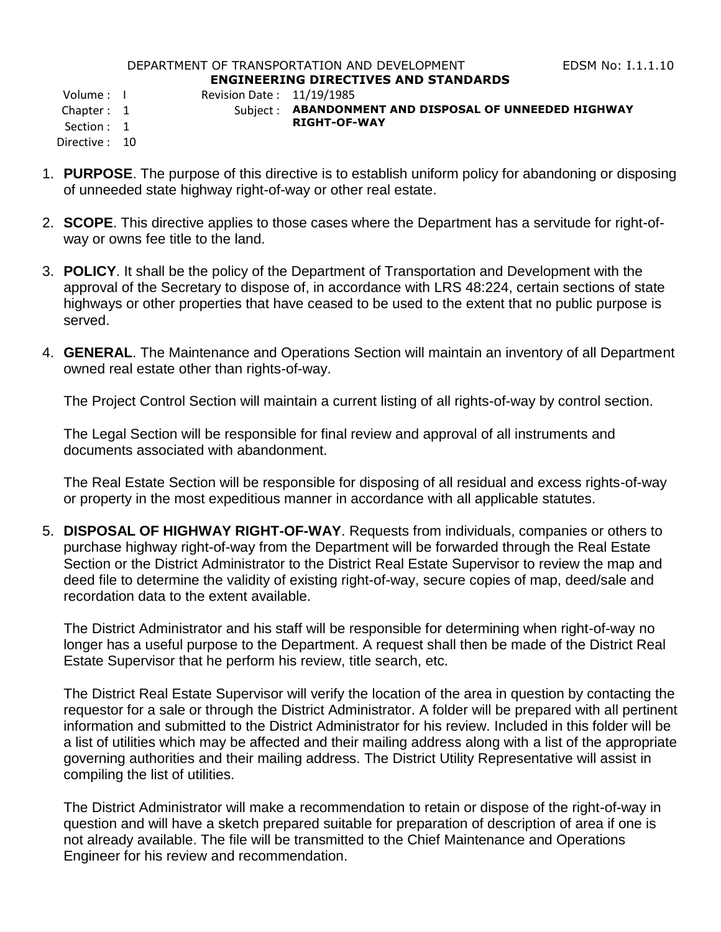## DEPARTMENT OF TRANSPORTATION AND DEVELOPMENT FOR THE RESS RIGHT RESERVED TO THE LIGHT OF THAT IS **ENGINEERING DIRECTIVES AND STANDARDS**

Volume : I Revision Date : 11/19/1985

## Chapter : 1 Subject : **ABANDONMENT AND DISPOSAL OF UNNEEDED HIGHWAY RIGHT-OF-WAY**

- Directive : 10
- 1. **PURPOSE**. The purpose of this directive is to establish uniform policy for abandoning or disposing of unneeded state highway right-of-way or other real estate.
- 2. **SCOPE**. This directive applies to those cases where the Department has a servitude for right-ofway or owns fee title to the land.
- 3. **POLICY**. It shall be the policy of the Department of Transportation and Development with the approval of the Secretary to dispose of, in accordance with LRS 48:224, certain sections of state highways or other properties that have ceased to be used to the extent that no public purpose is served.
- 4. **GENERAL**. The Maintenance and Operations Section will maintain an inventory of all Department owned real estate other than rights-of-way.

The Project Control Section will maintain a current listing of all rights-of-way by control section.

The Legal Section will be responsible for final review and approval of all instruments and documents associated with abandonment.

The Real Estate Section will be responsible for disposing of all residual and excess rights-of-way or property in the most expeditious manner in accordance with all applicable statutes.

5. **DISPOSAL OF HIGHWAY RIGHT-OF-WAY**. Requests from individuals, companies or others to purchase highway right-of-way from the Department will be forwarded through the Real Estate Section or the District Administrator to the District Real Estate Supervisor to review the map and deed file to determine the validity of existing right-of-way, secure copies of map, deed/sale and recordation data to the extent available.

The District Administrator and his staff will be responsible for determining when right-of-way no longer has a useful purpose to the Department. A request shall then be made of the District Real Estate Supervisor that he perform his review, title search, etc.

The District Real Estate Supervisor will verify the location of the area in question by contacting the requestor for a sale or through the District Administrator. A folder will be prepared with all pertinent information and submitted to the District Administrator for his review. Included in this folder will be a list of utilities which may be affected and their mailing address along with a list of the appropriate governing authorities and their mailing address. The District Utility Representative will assist in compiling the list of utilities.

The District Administrator will make a recommendation to retain or dispose of the right-of-way in question and will have a sketch prepared suitable for preparation of description of area if one is not already available. The file will be transmitted to the Chief Maintenance and Operations Engineer for his review and recommendation.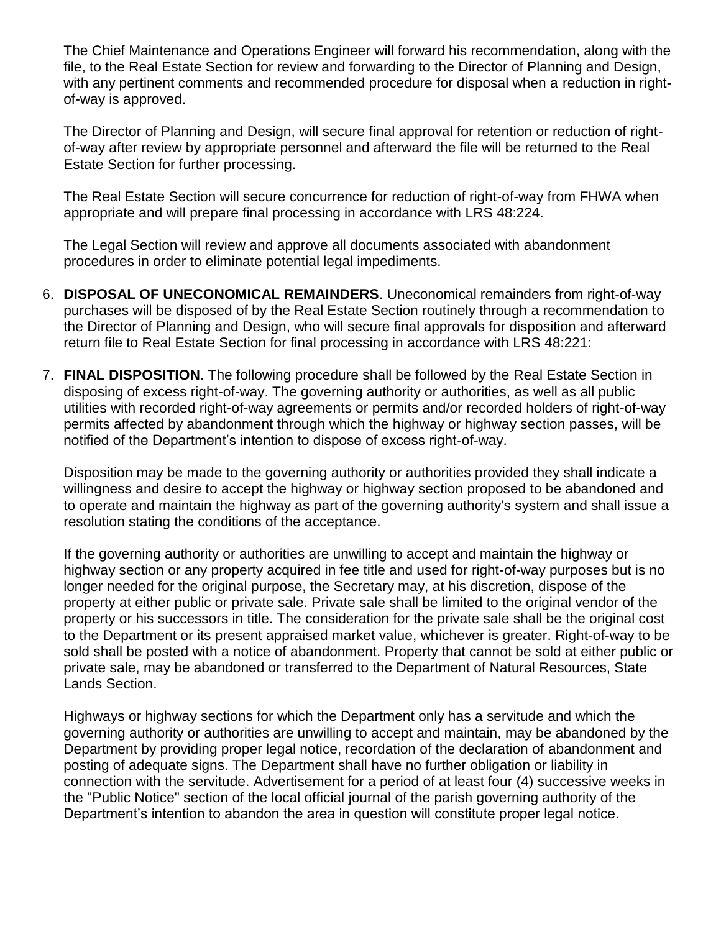The Chief Maintenance and Operations Engineer will forward his recommendation, along with the file, to the Real Estate Section for review and forwarding to the Director of Planning and Design, with any pertinent comments and recommended procedure for disposal when a reduction in rightof-way is approved.

The Director of Planning and Design, will secure final approval for retention or reduction of rightof-way after review by appropriate personnel and afterward the file will be returned to the Real Estate Section for further processing.

The Real Estate Section will secure concurrence for reduction of right-of-way from FHWA when appropriate and will prepare final processing in accordance with LRS 48:224.

The Legal Section will review and approve all documents associated with abandonment procedures in order to eliminate potential legal impediments.

- 6. **DISPOSAL OF UNECONOMICAL REMAINDERS**. Uneconomical remainders from right-of-way purchases will be disposed of by the Real Estate Section routinely through a recommendation to the Director of Planning and Design, who will secure final approvals for disposition and afterward return file to Real Estate Section for final processing in accordance with LRS 48:221:
- 7. **FINAL DISPOSITION**. The following procedure shall be followed by the Real Estate Section in disposing of excess right-of-way. The governing authority or authorities, as well as all public utilities with recorded right-of-way agreements or permits and/or recorded holders of right-of-way permits affected by abandonment through which the highway or highway section passes, will be notified of the Department's intention to dispose of excess right-of-way.

Disposition may be made to the governing authority or authorities provided they shall indicate a willingness and desire to accept the highway or highway section proposed to be abandoned and to operate and maintain the highway as part of the governing authority's system and shall issue a resolution stating the conditions of the acceptance.

If the governing authority or authorities are unwilling to accept and maintain the highway or highway section or any property acquired in fee title and used for right-of-way purposes but is no longer needed for the original purpose, the Secretary may, at his discretion, dispose of the property at either public or private sale. Private sale shall be limited to the original vendor of the property or his successors in title. The consideration for the private sale shall be the original cost to the Department or its present appraised market value, whichever is greater. Right-of-way to be sold shall be posted with a notice of abandonment. Property that cannot be sold at either public or private sale, may be abandoned or transferred to the Department of Natural Resources, State Lands Section.

Highways or highway sections for which the Department only has a servitude and which the governing authority or authorities are unwilling to accept and maintain, may be abandoned by the Department by providing proper legal notice, recordation of the declaration of abandonment and posting of adequate signs. The Department shall have no further obligation or liability in connection with the servitude. Advertisement for a period of at least four (4) successive weeks in the "Public Notice" section of the local official journal of the parish governing authority of the Department's intention to abandon the area in question will constitute proper legal notice.